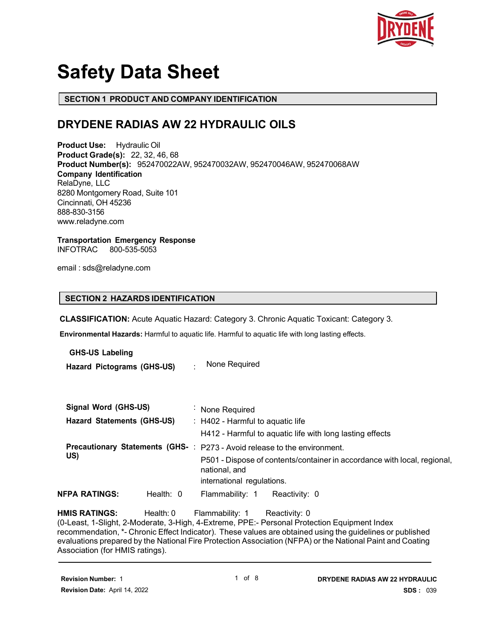

# **Safety Data Sheet**

#### **SECTION 1 PRODUCT AND COMPANY IDENTIFICATION**

### **DRYDENE RADIAS AW 22 HYDRAULIC OILS**

**Product Use:** Hydraulic Oil **Product Grade(s):** 22, 32, 46, 68 **Product Number(s):** 952470022AW, 952470032AW, 952470046AW, 952470068AW **Company Identification** RelaDyne, LLC 8280 Montgomery Road, Suite 101 Cincinnati, OH 45236 888-830-3156 www.reladyne.com

## **Transportation Emergency Response**

**INFOTRAC** 

email : sds@reladyne.com

#### **SECTION 2 HAZARDS IDENTIFICATION**

**CLASSIFICATION:** Acute Aquatic Hazard: Category 3. Chronic Aquatic Toxicant: Category 3.

**Environmental Hazards:** Harmful to aquatic life. Harmful to aquatic life with long lasting effects.

**GHS-US Labeling Hazard Pictograms (GHS-US)** : None Required

| Signal Word (GHS-US)              |             | : None Required                                                                           |
|-----------------------------------|-------------|-------------------------------------------------------------------------------------------|
| <b>Hazard Statements (GHS-US)</b> |             | $\therefore$ H402 - Harmful to aquatic life                                               |
|                                   |             | H412 - Harmful to aquatic life with long lasting effects                                  |
|                                   |             | Precautionary Statements (GHS-: P273 - Avoid release to the environment.                  |
| US)                               |             | P501 - Dispose of contents/container in accordance with local, regional,<br>national, and |
|                                   |             | international regulations.                                                                |
| NFPA RATINGS:                     | Health: $0$ | Flammability: 1<br>Reactivity: 0                                                          |

**HMIS RATINGS:** Health: 0 Flammability: 1 Reactivity: 0

(0-Least, 1-Slight, 2-Moderate, 3-High, 4-Extreme, PPE:- Personal Protection Equipment Index recommendation, \*- Chronic Effect Indicator). These values are obtained using the guidelines or published evaluations prepared by the National Fire Protection Association (NFPA) or the National Paint and Coating Association (for HMIS ratings).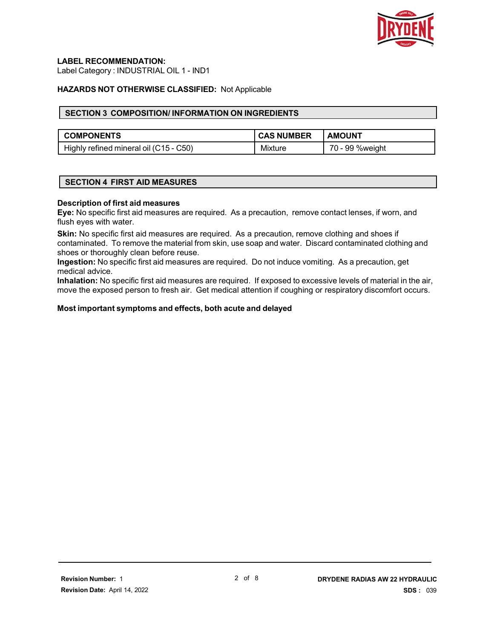

#### **LABEL RECOMMENDATION:**

Label Category : INDUSTRIAL OIL 1 - IND1

#### **HAZARDS NOT OTHERWISE CLASSIFIED:** Not Applicable

#### **SECTION 3 COMPOSITION/ INFORMATION ON INGREDIENTS**

| <b>COMPONENTS</b>                      | <b>CAS NUMBER</b> | <b>AMOUNT</b>      |
|----------------------------------------|-------------------|--------------------|
| Highly refined mineral oil (C15 - C50) | Mixture           | 70 -<br>99 %weight |

#### **SECTION 4 FIRST AID MEASURES**

#### **Description of first aid measures**

**Eye:** No specific first aid measures are required. As a precaution, remove contact lenses, if worn, and flush eyes with water.

**Skin:** No specific first aid measures are required. As a precaution, remove clothing and shoes if contaminated. To remove the material from skin, use soap and water. Discard contaminated clothing and shoes or thoroughly clean before reuse.

**Ingestion:** No specific first aid measures are required. Do not induce vomiting. As a precaution, get medical advice.

**Inhalation:** No specific first aid measures are required. If exposed to excessive levels of material in the air, move the exposed person to fresh air. Get medical attention if coughing or respiratory discomfort occurs.

#### **Most important symptoms and effects, both acute and delayed**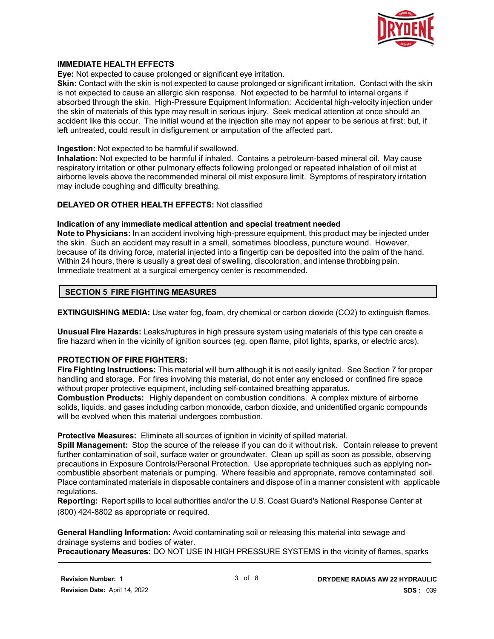

#### **IMMEDIATE HEALTH EFFECTS**

**Eye:** Not expected to cause prolonged or significant eye irritation.

**Skin:** Contact with the skin is not expected to cause prolonged or significant irritation. Contact with the skin is not expected to cause an allergic skin response. Not expected to be harmful to internal organs if absorbed through the skin. High-Pressure Equipment Information: Accidental high-velocity injection under the skin of materials of this type may result in serious injury. Seek medical attention at once should an accident like this occur. The initial wound at the injection site may not appear to be serious at first; but, if left untreated, could result in disfigurement or amputation of the affected part.

#### **Ingestion:** Not expected to be harmful if swallowed.

**Inhalation:** Not expected to be harmful if inhaled. Contains a petroleum-based mineral oil. May cause respiratory irritation or other pulmonary effects following prolonged or repeated inhalation of oil mist at airborne levels above the recommended mineral oil mist exposure limit. Symptoms of respiratory irritation may include coughing and difficulty breathing.

#### **DELAYED OR OTHER HEALTH EFFECTS:** Not classified

#### **Indication of any immediate medical attention and special treatment needed**

**Note to Physicians:** In an accident involving high-pressure equipment, this product may be injected under the skin. Such an accident may result in a small, sometimes bloodless, puncture wound. However, because of its driving force, material injected into a fingertip can be deposited into the palm of the hand. Within 24 hours, there is usually a great deal of swelling, discoloration, and intense throbbing pain. Immediate treatment at a surgical emergency center is recommended.

#### **SECTION 5 FIRE FIGHTING MEASURES**

**EXTINGUISHING MEDIA:** Use water fog, foam, dry chemical or carbon dioxide (CO2) to extinguish flames.

**Unusual Fire Hazards:** Leaks/ruptures in high pressure system using materials of this type can create a fire hazard when in the vicinity of ignition sources (eg. open flame, pilot lights, sparks, or electric arcs).

#### **PROTECTION OF FIRE FIGHTERS:**

**Fire Fighting Instructions:** This material will burn although it is not easily ignited. See Section 7 for proper handling and storage. For fires involving this material, do not enter any enclosed or confined fire space without proper protective equipment, including self-contained breathing apparatus.

**Combustion Products:** Highly dependent on combustion conditions. A complex mixture of airborne solids, liquids, and gases including carbon monoxide, carbon dioxide, and unidentified organic compounds will be evolved when this material undergoes combustion.

#### **Protective Measures:** Eliminate all sources of ignition in vicinity of spilled material.

**Spill Management:** Stop the source of the release if you can do it without risk. Contain release to prevent further contamination of soil, surface water or groundwater. Clean up spill as soon as possible, observing precautions in Exposure Controls/Personal Protection. Use appropriate techniques such as applying noncombustible absorbent materials or pumping. Where feasible and appropriate, remove contaminated soil. Place contaminated materials in disposable containers and dispose of in a manner consistent with applicable regulations.

**Reporting:** Report spills to local authorities and/or the U.S. Coast Guard's National Response Center at (800) 424-8802 as appropriate or required.

**General Handling Information:** Avoid contaminating soil or releasing this material into sewage and drainage systems and bodies of water.

**Precautionary Measures:** DO NOT USE IN HIGH PRESSURE SYSTEMS in the vicinity of flames, sparks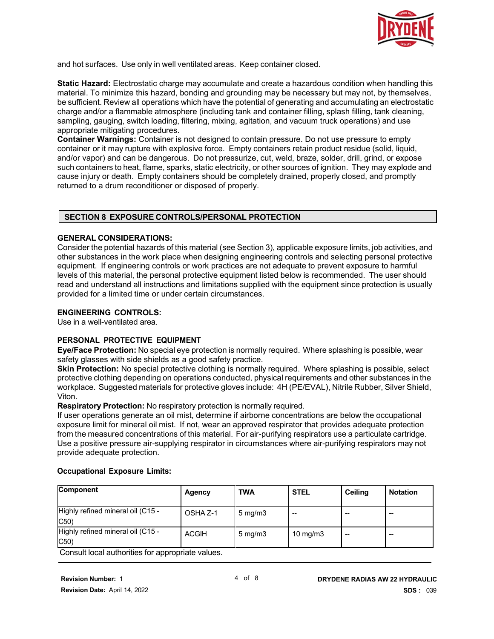

and hot surfaces. Use only in well ventilated areas. Keep container closed.

**Static Hazard:** Electrostatic charge may accumulate and create a hazardous condition when handling this material. To minimize this hazard, bonding and grounding may be necessary but may not, by themselves, be sufficient. Review all operations which have the potential of generating and accumulating an electrostatic charge and/or a flammable atmosphere (including tank and container filling, splash filling, tank cleaning, sampling, gauging, switch loading, filtering, mixing, agitation, and vacuum truck operations) and use appropriate mitigating procedures.

**Container Warnings:** Container is not designed to contain pressure. Do not use pressure to empty container or it may rupture with explosive force. Empty containers retain product residue (solid, liquid, and/or vapor) and can be dangerous. Do not pressurize, cut, weld, braze, solder, drill, grind, or expose such containers to heat, flame, sparks, static electricity, or other sources of ignition. They may explode and cause injury or death. Empty containers should be completely drained, properly closed, and promptly returned to a drum reconditioner or disposed of properly.

#### **SECTION 8 EXPOSURE CONTROLS/PERSONAL PROTECTION**

#### **GENERAL CONSIDERATIONS:**

Consider the potential hazards of this material (see Section 3), applicable exposure limits, job activities, and other substances in the work place when designing engineering controls and selecting personal protective equipment. If engineering controls or work practices are not adequate to prevent exposure to harmful levels of this material, the personal protective equipment listed below is recommended. The user should read and understand all instructions and limitations supplied with the equipment since protection is usually provided for a limited time or under certain circumstances.

#### **ENGINEERING CONTROLS:**

Use in a well-ventilated area.

#### **PERSONAL PROTECTIVE EQUIPMENT**

**Eye/Face Protection:** No special eye protection is normally required. Where splashing is possible, wear safety glasses with side shields as a good safety practice.

**Skin Protection:** No special protective clothing is normally required. Where splashing is possible, select protective clothing depending on operations conducted, physical requirements and other substances in the workplace. Suggested materials for protective gloves include: 4H (PE/EVAL), Nitrile Rubber, Silver Shield, Viton.

**Respiratory Protection:** No respiratory protection is normally required.

If user operations generate an oil mist, determine if airborne concentrations are below the occupational exposure limit for mineral oil mist. If not, wear an approved respirator that provides adequate protection from the measured concentrations of this material. For air-purifying respirators use a particulate cartridge. Use a positive pressure air-supplying respirator in circumstances where air-purifying respirators may not provide adequate protection.

#### **Occupational Exposure Limits:**

| Component                                 | Agency              | <b>TWA</b>           | <b>STEL</b> | <b>Ceiling</b> | <b>Notation</b> |
|-------------------------------------------|---------------------|----------------------|-------------|----------------|-----------------|
| Highly refined mineral oil (C15 -<br>C50  | OSHA <sub>Z-1</sub> | $5 \,\mathrm{mg/m3}$ | --          |                | --              |
| Highly refined mineral oil (C15 -<br>C50) | <b>ACGIH</b>        | $5 \,\mathrm{mq/m}$  | 10 mg/m $3$ | --             | --              |

Consult local authorities for appropriate values.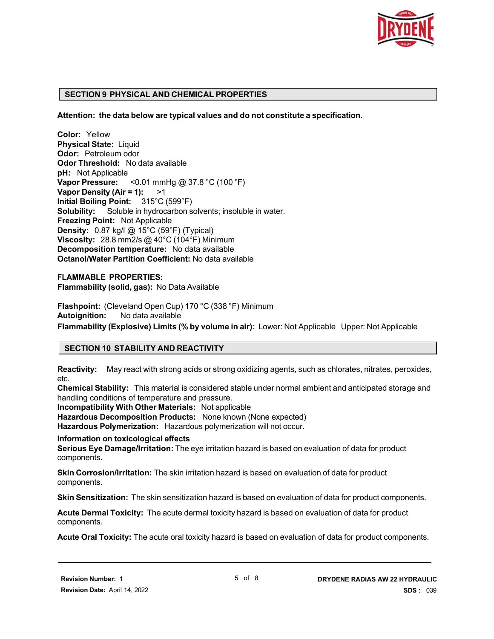

#### **SECTION 9 PHYSICAL AND CHEMICAL PROPERTIES**

**Attention: the data below are typical values and do not constitute a specification.**

**Color:** Yellow **Physical State:** Liquid **Odor:** Petroleum odor **Odor Threshold:** No data available **pH:** Not Applicable **Vapor Pressure:** <0.01 mmHg @ 37.8 °C (100 °F) **Vapor Density (Air = 1):** >1 **Initial Boiling Point:** 315°C (599°F) **Solubility:** Soluble in hydrocarbon solvents; insoluble in water. **Freezing Point:** Not Applicable **Density:** 0.87 kg/l @ 15°C (59°F) (Typical) **Viscosity:** 28.8 mm2/s @ 40°C (104°F) Minimum **Decomposition temperature:** No data available **Octanol/Water Partition Coefficient:** No data available

**FLAMMABLE PROPERTIES: Flammability (solid, gas):** No Data Available

**Flashpoint:** (Cleveland Open Cup) 170 °C (338 °F) Minimum **Autoignition:** No data available

**Flammability (Explosive) Limits (% by volume in air):** Lower: Not Applicable Upper: Not Applicable

#### **SECTION 10 STABILITY AND REACTIVITY**

**Reactivity:** May react with strong acids or strong oxidizing agents, such as chlorates, nitrates, peroxides, etc.

**Chemical Stability:** This material is considered stable under normal ambient and anticipated storage and handling conditions of temperature and pressure.

**Incompatibility With Other Materials:** Not applicable **Hazardous Decomposition Products:** None known (None expected)

**Hazardous Polymerization:** Hazardous polymerization will not occur.

#### **Information on toxicological effects**

**Serious Eye Damage/Irritation:** The eye irritation hazard is based on evaluation of data for product components.

**Skin Corrosion/Irritation:** The skin irritation hazard is based on evaluation of data for product components.

**Skin Sensitization:** The skin sensitization hazard is based on evaluation of data for product components.

**Acute Dermal Toxicity:** The acute dermal toxicity hazard is based on evaluation of data for product components.

**Acute Oral Toxicity:** The acute oral toxicity hazard is based on evaluation of data for product components.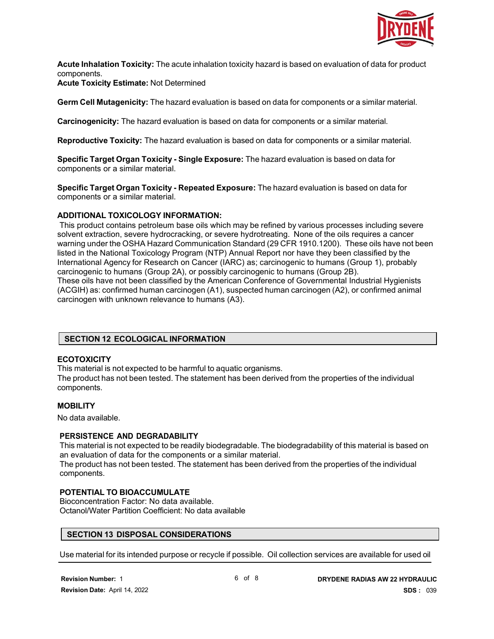

**Acute Inhalation Toxicity:** The acute inhalation toxicity hazard is based on evaluation of data for product components.

**Acute Toxicity Estimate:** Not Determined

**Germ Cell Mutagenicity:** The hazard evaluation is based on data for components or a similar material.

**Carcinogenicity:** The hazard evaluation is based on data for components or a similar material.

**Reproductive Toxicity:** The hazard evaluation is based on data for components or a similar material.

**Specific Target Organ Toxicity - Single Exposure:** The hazard evaluation is based on data for components or a similar material.

**Specific Target Organ Toxicity - Repeated Exposure:** The hazard evaluation is based on data for components or a similar material.

#### **ADDITIONAL TOXICOLOGY INFORMATION:**

This product contains petroleum base oils which may be refined by various processes including severe solvent extraction, severe hydrocracking, or severe hydrotreating. None of the oils requires a cancer warning under the OSHA Hazard Communication Standard (29 CFR 1910.1200). These oils have not been listed in the National Toxicology Program (NTP) Annual Report nor have they been classified by the International Agency for Research on Cancer (IARC) as; carcinogenic to humans (Group 1), probably carcinogenic to humans (Group 2A), or possibly carcinogenic to humans (Group 2B). These oils have not been classified by the American Conference of Governmental Industrial Hygienists (ACGIH) as: confirmed human carcinogen (A1), suspected human carcinogen (A2), or confirmed animal carcinogen with unknown relevance to humans (A3).

#### **SECTION 12 ECOLOGICAL INFORMATION**

#### **ECOTOXICITY**

This material is not expected to be harmful to aquatic organisms.

The product has not been tested. The statement has been derived from the properties of the individual components.

#### **MOBILITY**

No data available.

components.

#### **PERSISTENCE AND DEGRADABILITY**

This material is not expected to be readily biodegradable. The biodegradability of this material is based on an evaluation of data for the components or a similar material. The product has not been tested. The statement has been derived from the properties of the individual

#### **POTENTIAL TO BIOACCUMULATE**

Bioconcentration Factor: No data available. Octanol/Water Partition Coefficient: No data available

#### **SECTION 13 DISPOSAL CONSIDERATIONS**

Use material for its intended purpose or recycle if possible. Oil collection services are available for used oil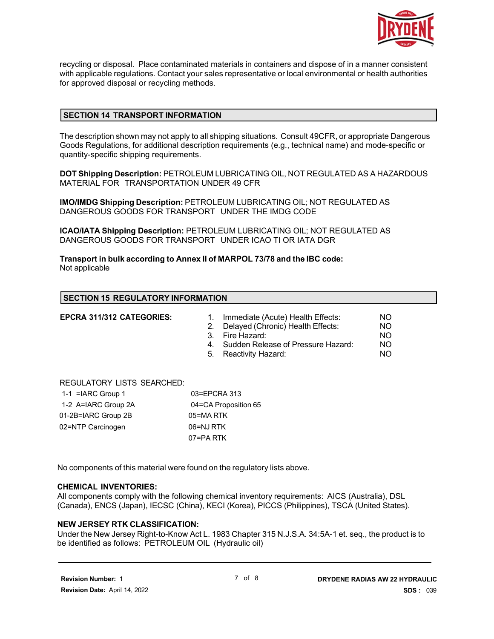

recycling or disposal. Place contaminated materials in containers and dispose of in a manner consistent with applicable regulations. Contact your sales representative or local environmental or health authorities for approved disposal or recycling methods.

#### **SECTION 14 TRANSPORT INFORMATION**

The description shown may not apply to all shipping situations. Consult 49CFR, or appropriate Dangerous Goods Regulations, for additional description requirements (e.g., technical name) and mode-specific or quantity-specific shipping requirements.

**DOT Shipping Description:** PETROLEUM LUBRICATING OIL, NOT REGULATED AS A HAZARDOUS MATERIAL FOR TRANSPORTATION UNDER 49 CFR

**IMO/IMDG Shipping Description:** PETROLEUM LUBRICATING OIL; NOT REGULATED AS DANGEROUS GOODS FOR TRANSPORT UNDER THE IMDG CODE

**ICAO/IATA Shipping Description:** PETROLEUM LUBRICATING OIL; NOT REGULATED AS DANGEROUS GOODS FOR TRANSPORT UNDER ICAO TI OR IATA DGR

**Transport in bulk according to Annex II of MARPOL 73/78 and the IBC code:** Not applicable

#### **SECTION 15 REGULATORY INFORMATION**

- **EPCRA 311/312 CATEGORIES:** 1. Immediate (Acute) Health Effects: NO 2. Delayed (Chronic) Health Effects: NO 3. Fire Hazard:
- 4. Sudden Release of Pressure Hazard: NO
- 5. Reactivity Hazard: NO

#### REGULATORY LISTS SEARCHED:

| 1-1 = $IARC$ Group 1 | 03=EPCRA 313         |
|----------------------|----------------------|
| 1-2 A=IARC Group 2A  | 04=CA Proposition 65 |
| 01-2B=IARC Group 2B  | 05=MARTK             |
| 02=NTP Carcinogen    | 06=NJ RTK            |
|                      | 07=PA RTK            |

No components of this material were found on the regulatory lists above.

#### **CHEMICAL INVENTORIES:**

All components comply with the following chemical inventory requirements: AICS (Australia), DSL (Canada), ENCS (Japan), IECSC (China), KECI (Korea), PICCS (Philippines), TSCA (United States).

#### **NEW JERSEY RTK CLASSIFICATION:**

Under the New Jersey Right-to-Know Act L. 1983 Chapter 315 N.J.S.A. 34:5A-1 et. seq., the product is to be identified as follows: PETROLEUM OIL (Hydraulic oil)